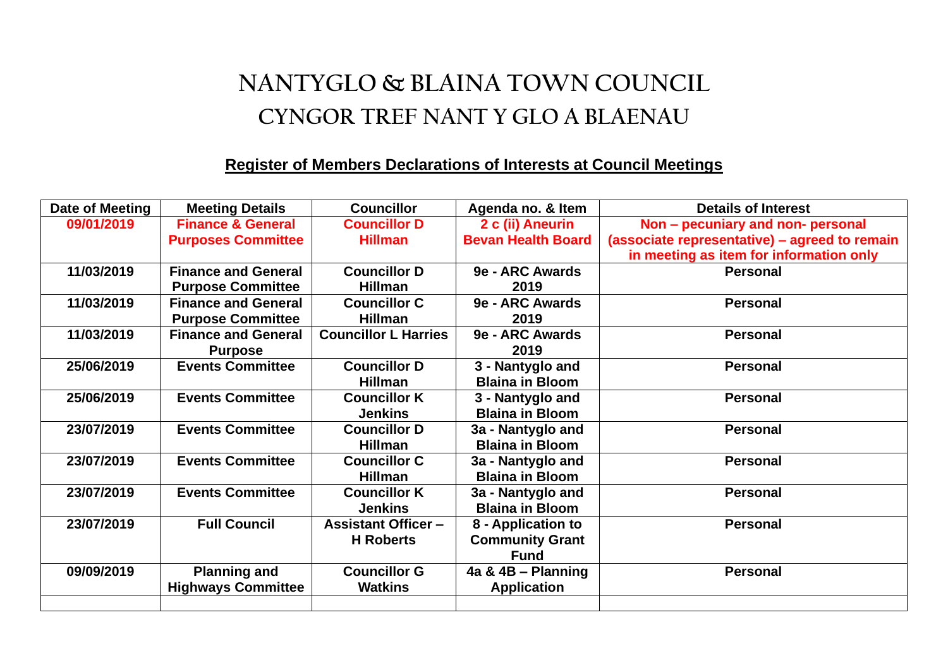## **NANTYGLO & BLAINA TOWN COUNCIL CYNGOR TREF NANT Y GLO A BLAENAU**

## **Register of Members Declarations of Interests at Council Meetings**

| Date of Meeting | <b>Meeting Details</b>       | <b>Councillor</b>           | Agenda no. & Item         | <b>Details of Interest</b>                    |
|-----------------|------------------------------|-----------------------------|---------------------------|-----------------------------------------------|
| 09/01/2019      | <b>Finance &amp; General</b> | <b>Councillor D</b>         | 2 c (ii) Aneurin          | Non - pecuniary and non- personal             |
|                 | <b>Purposes Committee</b>    | <b>Hillman</b>              | <b>Bevan Health Board</b> | (associate representative) - agreed to remain |
|                 |                              |                             |                           | in meeting as item for information only       |
| 11/03/2019      | <b>Finance and General</b>   | <b>Councillor D</b>         | 9e - ARC Awards           | <b>Personal</b>                               |
|                 | <b>Purpose Committee</b>     | <b>Hillman</b>              | 2019                      |                                               |
| 11/03/2019      | <b>Finance and General</b>   | <b>Councillor C</b>         | 9e - ARC Awards           | <b>Personal</b>                               |
|                 | <b>Purpose Committee</b>     | <b>Hillman</b>              | 2019                      |                                               |
| 11/03/2019      | <b>Finance and General</b>   | <b>Councillor L Harries</b> | 9e - ARC Awards           | <b>Personal</b>                               |
|                 | <b>Purpose</b>               |                             | 2019                      |                                               |
| 25/06/2019      | <b>Events Committee</b>      | <b>Councillor D</b>         | 3 - Nantyglo and          | <b>Personal</b>                               |
|                 |                              | <b>Hillman</b>              | <b>Blaina in Bloom</b>    |                                               |
| 25/06/2019      | <b>Events Committee</b>      | <b>Councillor K</b>         | 3 - Nantyglo and          | <b>Personal</b>                               |
|                 |                              | <b>Jenkins</b>              | <b>Blaina in Bloom</b>    |                                               |
| 23/07/2019      | <b>Events Committee</b>      | <b>Councillor D</b>         | 3a - Nantyglo and         | <b>Personal</b>                               |
|                 |                              | <b>Hillman</b>              | <b>Blaina in Bloom</b>    |                                               |
| 23/07/2019      | <b>Events Committee</b>      | <b>Councillor C</b>         | 3a - Nantyglo and         | <b>Personal</b>                               |
|                 |                              | <b>Hillman</b>              | <b>Blaina in Bloom</b>    |                                               |
| 23/07/2019      | <b>Events Committee</b>      | <b>Councillor K</b>         | 3a - Nantyglo and         | <b>Personal</b>                               |
|                 |                              | <b>Jenkins</b>              | <b>Blaina in Bloom</b>    |                                               |
| 23/07/2019      | <b>Full Council</b>          | <b>Assistant Officer -</b>  | 8 - Application to        | <b>Personal</b>                               |
|                 |                              | <b>H</b> Roberts            | <b>Community Grant</b>    |                                               |
|                 |                              |                             | <b>Fund</b>               |                                               |
| 09/09/2019      | <b>Planning and</b>          | <b>Councillor G</b>         | 4a & 4B - Planning        | <b>Personal</b>                               |
|                 | <b>Highways Committee</b>    | <b>Watkins</b>              | <b>Application</b>        |                                               |
|                 |                              |                             |                           |                                               |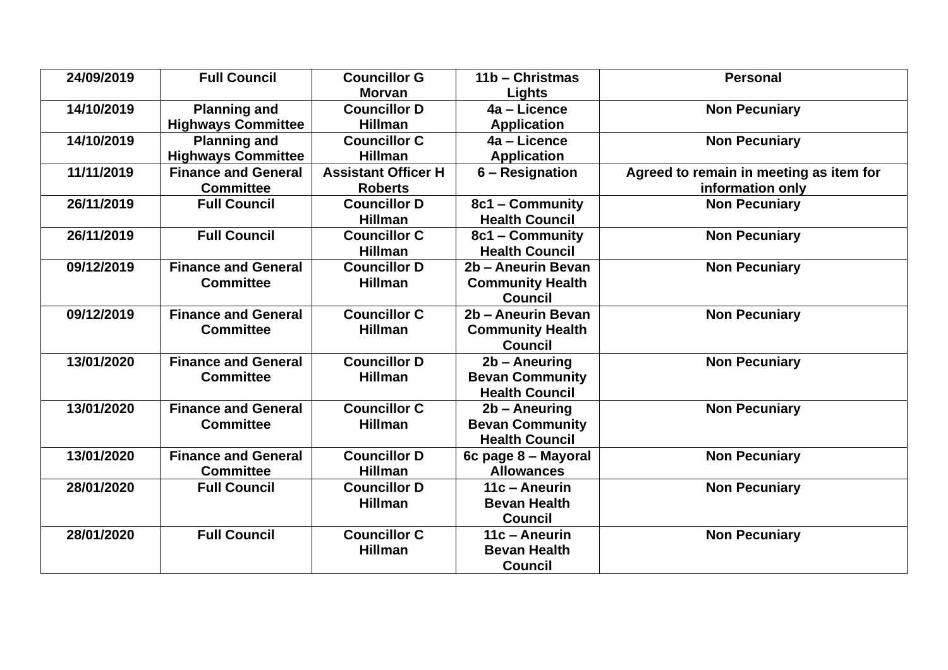| 24/09/2019 | <b>Full Council</b>        | <b>Councillor G</b>        | 11b - Christmas         | <b>Personal</b>                         |
|------------|----------------------------|----------------------------|-------------------------|-----------------------------------------|
|            |                            | <b>Morvan</b>              | Lights                  |                                         |
| 14/10/2019 | <b>Planning and</b>        | <b>Councillor D</b>        | 4a - Licence            | <b>Non Pecuniary</b>                    |
|            | <b>Highways Committee</b>  | <b>Hillman</b>             | <b>Application</b>      |                                         |
| 14/10/2019 | <b>Planning and</b>        | <b>Councillor C</b>        | 4a - Licence            | <b>Non Pecuniary</b>                    |
|            | <b>Highways Committee</b>  | <b>Hillman</b>             | <b>Application</b>      |                                         |
| 11/11/2019 | <b>Finance and General</b> | <b>Assistant Officer H</b> | 6 – Resignation         | Agreed to remain in meeting as item for |
|            | <b>Committee</b>           | <b>Roberts</b>             |                         | information only                        |
| 26/11/2019 | <b>Full Council</b>        | <b>Councillor D</b>        | 8c1 - Community         | <b>Non Pecuniary</b>                    |
|            |                            | <b>Hillman</b>             | <b>Health Council</b>   |                                         |
| 26/11/2019 | <b>Full Council</b>        | <b>Councillor C</b>        | 8c1 - Community         | <b>Non Pecuniary</b>                    |
|            |                            | <b>Hillman</b>             | <b>Health Council</b>   |                                         |
| 09/12/2019 | <b>Finance and General</b> | <b>Councillor D</b>        | 2b - Aneurin Bevan      | <b>Non Pecuniary</b>                    |
|            | <b>Committee</b>           | <b>Hillman</b>             | <b>Community Health</b> |                                         |
|            |                            |                            | <b>Council</b>          |                                         |
| 09/12/2019 | <b>Finance and General</b> | <b>Councillor C</b>        | 2b - Aneurin Bevan      | <b>Non Pecuniary</b>                    |
|            | <b>Committee</b>           | <b>Hillman</b>             | <b>Community Health</b> |                                         |
|            |                            |                            | <b>Council</b>          |                                         |
| 13/01/2020 | <b>Finance and General</b> | <b>Councillor D</b>        | 2b - Aneuring           | <b>Non Pecuniary</b>                    |
|            | <b>Committee</b>           | <b>Hillman</b>             | <b>Bevan Community</b>  |                                         |
|            |                            |                            | <b>Health Council</b>   |                                         |
| 13/01/2020 | <b>Finance and General</b> | <b>Councillor C</b>        | 2b – Aneuring           | <b>Non Pecuniary</b>                    |
|            | <b>Committee</b>           | <b>Hillman</b>             | <b>Bevan Community</b>  |                                         |
|            |                            |                            | <b>Health Council</b>   |                                         |
| 13/01/2020 | <b>Finance and General</b> | <b>Councillor D</b>        | 6c page 8 - Mayoral     | <b>Non Pecuniary</b>                    |
|            | <b>Committee</b>           | <b>Hillman</b>             | <b>Allowances</b>       |                                         |
| 28/01/2020 | <b>Full Council</b>        | <b>Councillor D</b>        | 11c - Aneurin           | <b>Non Pecuniary</b>                    |
|            |                            | <b>Hillman</b>             | <b>Bevan Health</b>     |                                         |
|            |                            |                            | <b>Council</b>          |                                         |
| 28/01/2020 | <b>Full Council</b>        | <b>Councillor C</b>        | 11c - Aneurin           | <b>Non Pecuniary</b>                    |
|            |                            | <b>Hillman</b>             | <b>Bevan Health</b>     |                                         |
|            |                            |                            | <b>Council</b>          |                                         |